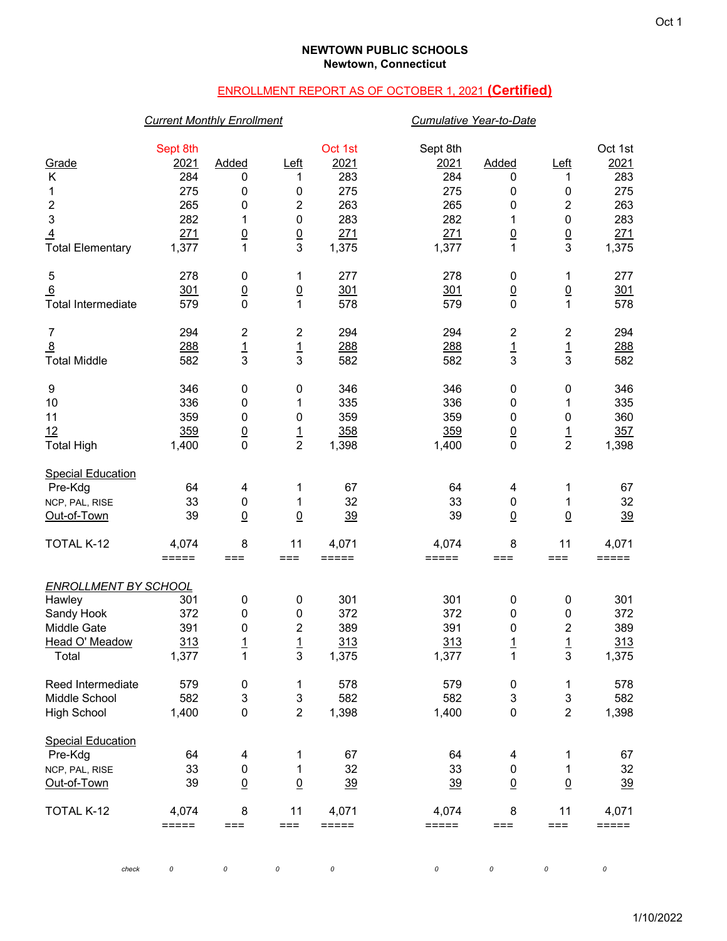## **NEWTOWN PUBLIC SCHOOLS Newtown, Connecticut**

# ENROLLMENT REPORT AS OF OCTOBER 1, 2021 **(Certified)**

### *Current Monthly Enrollment Cumulative Year-to-Date*

|                             | Sept 8th |                                 |                         | Oct 1st | Sept 8th |                                 |                     | Oct 1st        |
|-----------------------------|----------|---------------------------------|-------------------------|---------|----------|---------------------------------|---------------------|----------------|
| Grade                       | 2021     | Added                           | Left                    | 2021    | 2021     | Added                           | Left                | 2021           |
| Κ                           | 284      | 0                               | 1                       | 283     | 284      | 0                               | 1                   | 283            |
| 1                           | 275      | 0                               | $\pmb{0}$               | 275     | 275      | 0                               | 0                   | 275            |
| $\overline{c}$              | 265      | 0                               | $\overline{2}$          | 263     | 265      | 0                               | $\mathbf{2}$        | 263            |
| $\mathfrak{S}$              | 282      | 1                               | $\pmb{0}$               | 283     | 282      | 1                               | $\pmb{0}$           | 283            |
| $\overline{4}$              | 271      |                                 |                         | 271     | 271      |                                 |                     | 271            |
|                             | 1,377    | $\underline{0}$<br>$\mathbf{1}$ | $\frac{0}{3}$           | 1,375   | 1,377    | $\underline{0}$<br>$\mathbf{1}$ | $\frac{0}{3}$       | 1,375          |
| <b>Total Elementary</b>     |          |                                 |                         |         |          |                                 |                     |                |
| 5                           | 278      | 0                               | 1                       | 277     | 278      | 0                               | 1                   | 277            |
| 6                           | 301      |                                 |                         | 301     | 301      |                                 |                     | 301            |
| <b>Total Intermediate</b>   | 579      | $\frac{0}{0}$                   | $\frac{0}{1}$           | 578     | 579      | $\frac{0}{0}$                   | $\frac{0}{1}$       | 578            |
|                             |          |                                 |                         |         |          |                                 |                     |                |
| $\overline{7}$              | 294      | $\overline{\mathbf{c}}$         | $\mathbf{2}$            | 294     | 294      | $\boldsymbol{2}$                | $\overline{c}$      | 294            |
| $\overline{8}$              | 288      | $\overline{1}$                  | $\frac{1}{3}$           | 288     | 288      | $\frac{1}{3}$                   | $\overline{1}$      | 288            |
| <b>Total Middle</b>         | 582      | 3                               |                         | 582     | 582      |                                 | 3                   | 582            |
| $\boldsymbol{9}$            | 346      | $\pmb{0}$                       | 0                       | 346     | 346      | $\pmb{0}$                       | 0                   | 346            |
|                             |          |                                 |                         |         |          |                                 |                     |                |
| 10                          | 336      | $\pmb{0}$                       | 1                       | 335     | 336      | 0                               | 1                   | 335            |
| 11                          | 359      | $\pmb{0}$                       | 0                       | 359     | 359      | 0                               | $\pmb{0}$           | 360            |
| 12                          | 359      | $\underline{0}$                 | $\frac{1}{2}$           | 358     | 359      | $\underline{0}$                 | $\frac{1}{2}$       | 357            |
| <b>Total High</b>           | 1,400    | $\mathbf 0$                     |                         | 1,398   | 1,400    | $\overline{0}$                  |                     | 1,398          |
| <b>Special Education</b>    |          |                                 |                         |         |          |                                 |                     |                |
| Pre-Kdg                     | 64       | 4                               | 1                       | 67      | 64       | 4                               | 1                   | 67             |
| NCP, PAL, RISE              | 33       | $\pmb{0}$                       | 1                       | 32      | 33       | $\pmb{0}$                       | 1                   | 32             |
| Out-of-Town                 | 39       | $\overline{0}$                  | $\overline{0}$          | 39      | 39       | $\underline{0}$                 | $\underline{0}$     | 39             |
|                             |          |                                 |                         |         |          |                                 |                     |                |
| <b>TOTAL K-12</b>           | 4,074    | 8                               | 11                      | 4,071   | 4,074    | 8                               | 11                  | 4,071          |
|                             | $=====$  | $==$                            | $==$                    | $=====$ | $=====$  | $==$                            | $==$                | $=====$        |
| <b>ENROLLMENT BY SCHOOL</b> |          |                                 |                         |         |          |                                 |                     |                |
| Hawley                      | 301      | $\pmb{0}$                       | 0                       | 301     | 301      | 0                               | $\pmb{0}$           | 301            |
| Sandy Hook                  | 372      | 0                               | 0                       | 372     | 372      | 0                               | 0                   | 372            |
| Middle Gate                 | 391      | 0                               | $\overline{\mathbf{c}}$ | 389     | 391      | $\mathbf 0$                     | 2                   | 389            |
|                             |          |                                 |                         |         |          |                                 |                     |                |
| Head O' Meadow              | 313      | $\overline{1}$<br>$\mathbf{1}$  | $\frac{1}{3}$           | 313     | 313      | $\frac{1}{1}$                   | $\overline{1}$<br>3 | 313<br>1,375   |
| Total                       | 1,377    |                                 |                         | 1,375   | 1,377    |                                 |                     |                |
| Reed Intermediate           | 579      | $\pmb{0}$                       | 1                       | 578     | 579      | $\pmb{0}$                       | 1                   | 578            |
| Middle School               | 582      | 3                               | 3                       | 582     | 582      | $\mathbf{3}$                    | 3                   | 582            |
| <b>High School</b>          | 1,400    | $\pmb{0}$                       | $\overline{2}$          | 1,398   | 1,400    | $\pmb{0}$                       | $\overline{c}$      | 1,398          |
|                             |          |                                 |                         |         |          |                                 |                     |                |
| <b>Special Education</b>    |          |                                 |                         |         |          |                                 |                     |                |
| Pre-Kdg                     | 64       | 4                               | 1                       | 67      | 64       | 4                               | 1                   | 67             |
| NCP, PAL, RISE              | 33       | $\pmb{0}$                       | 1                       | 32      | 33       | $\pmb{0}$                       | $\mathbf 1$         | 32             |
| Out-of-Town                 | 39       | $\underline{0}$                 | $\underline{0}$         | 39      | 39       | $\underline{0}$                 | $\underline{0}$     | $\frac{39}{2}$ |
| <b>TOTAL K-12</b>           | 4,074    | 8                               | 11                      | 4,071   | 4,074    | 8                               | 11                  | 4,071          |
|                             | $=====$  | ===                             | $==$                    | $=====$ | =====    | ===                             | $==$                | =====          |
|                             |          |                                 |                         |         |          |                                 |                     |                |

*check 0 0 0 0 0 0 0 0*